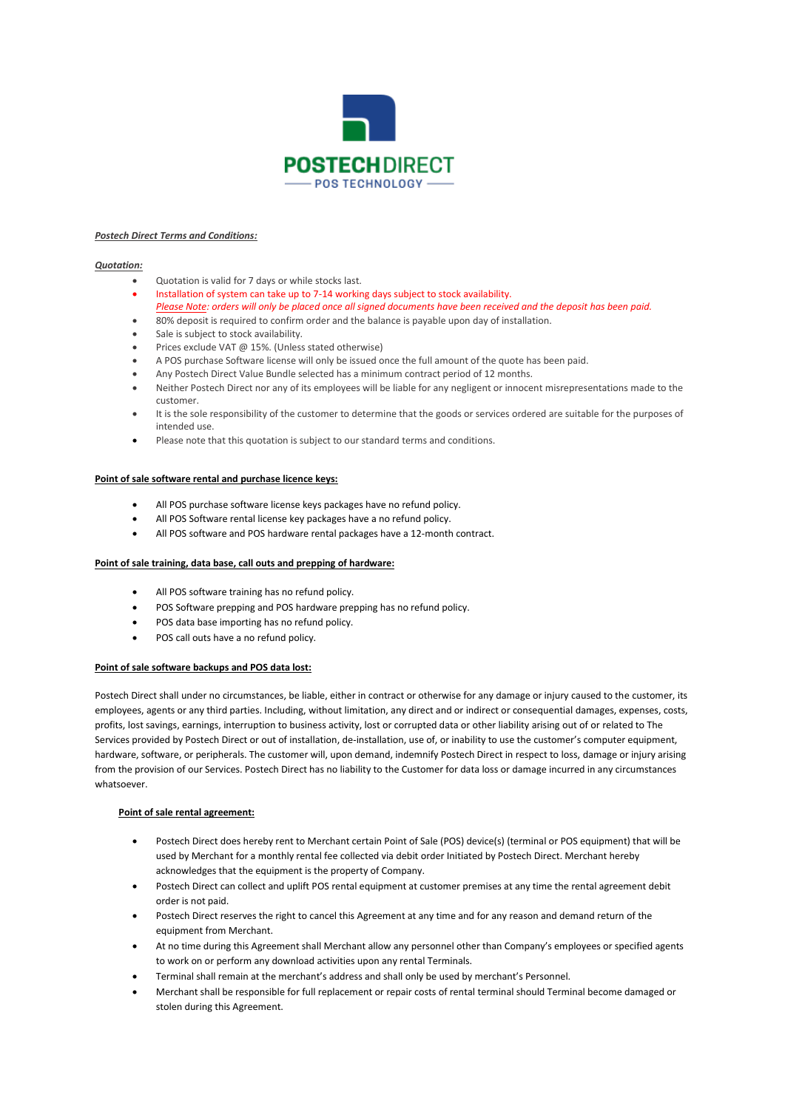

### *Postech Direct Terms and Conditions:*

## *Quotation:*

- Quotation is valid for 7 days or while stocks last.
- Installation of system can take up to 7-14 working days subject to stock availability. *Please Note: orders will only be placed once all signed documents have been received and the deposit has been paid.*
- 80% deposit is required to confirm order and the balance is payable upon day of installation.
- Sale is subject to stock availability.
- Prices exclude VAT @ 15%. (Unless stated otherwise)
- A POS purchase Software license will only be issued once the full amount of the quote has been paid.
- Any Postech Direct Value Bundle selected has a minimum contract period of 12 months.
- Neither Postech Direct nor any of its employees will be liable for any negligent or innocent misrepresentations made to the customer.
- It is the sole responsibility of the customer to determine that the goods or services ordered are suitable for the purposes of intended use.
- Please note that this quotation is subject to our standard terms and conditions.

## **Point of sale software rental and purchase licence keys:**

- All POS purchase software license keys packages have no refund policy.
- All POS Software rental license key packages have a no refund policy.
- All POS software and POS hardware rental packages have a 12-month contract.

#### **Point of sale training, data base, call outs and prepping of hardware:**

- All POS software training has no refund policy.
- POS Software prepping and POS hardware prepping has no refund policy.
- POS data base importing has no refund policy.
- POS call outs have a no refund policy.

## **Point of sale software backups and POS data lost:**

Postech Direct shall under no circumstances, be liable, either in contract or otherwise for any damage or injury caused to the customer, its employees, agents or any third parties. Including, without limitation, any direct and or indirect or consequential damages, expenses, costs, profits, lost savings, earnings, interruption to business activity, lost or corrupted data or other liability arising out of or related to The Services provided by Postech Direct or out of installation, de-installation, use of, or inability to use the customer's computer equipment, hardware, software, or peripherals. The customer will, upon demand, indemnify Postech Direct in respect to loss, damage or injury arising from the provision of our Services. Postech Direct has no liability to the Customer for data loss or damage incurred in any circumstances whatsoever.

## **Point of sale rental agreement:**

- Postech Direct does hereby rent to Merchant certain Point of Sale (POS) device(s) (terminal or POS equipment) that will be used by Merchant for a monthly rental fee collected via debit order Initiated by Postech Direct. Merchant hereby acknowledges that the equipment is the property of Company.
- Postech Direct can collect and uplift POS rental equipment at customer premises at any time the rental agreement debit order is not paid.
- Postech Direct reserves the right to cancel this Agreement at any time and for any reason and demand return of the equipment from Merchant.
- At no time during this Agreement shall Merchant allow any personnel other than Company's employees or specified agents to work on or perform any download activities upon any rental Terminals.
- Terminal shall remain at the merchant's address and shall only be used by merchant's Personnel.
- Merchant shall be responsible for full replacement or repair costs of rental terminal should Terminal become damaged or stolen during this Agreement.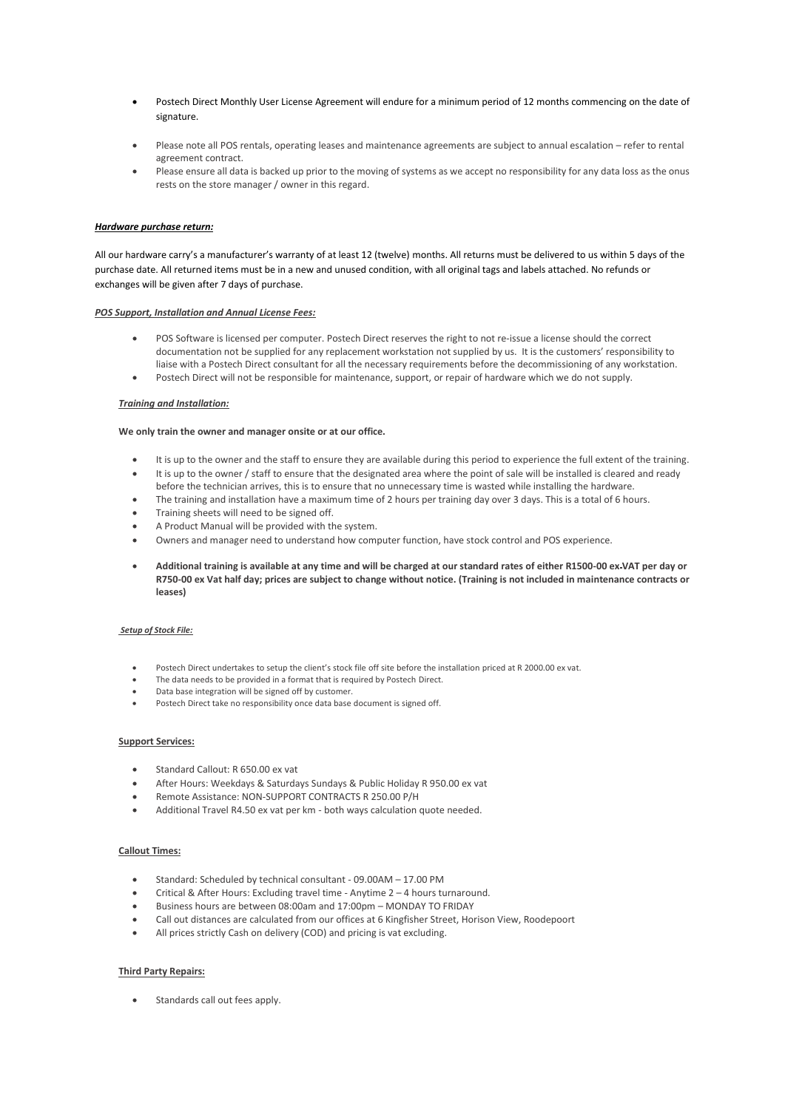- Postech Direct Monthly User License Agreement will endure for a minimum period of 12 months commencing on the date of signature.
- Please note all POS rentals, operating leases and maintenance agreements are subject to annual escalation refer to rental agreement contract.
- Please ensure all data is backed up prior to the moving of systems as we accept no responsibility for any data loss as the onus rests on the store manager / owner in this regard.

# *Hardware purchase return:*

All our hardware carry's a manufacturer's warranty of at least 12 (twelve) months. All returns must be delivered to us within 5 days of the purchase date. All returned items must be in a new and unused condition, with all original tags and labels attached. No refunds or exchanges will be given after 7 days of purchase.

#### *POS Support, Installation and Annual License Fees:*

- POS Software is licensed per computer. Postech Direct reserves the right to not re-issue a license should the correct documentation not be supplied for any replacement workstation not supplied by us. It is the customers' responsibility to liaise with a Postech Direct consultant for all the necessary requirements before the decommissioning of any workstation.
- Postech Direct will not be responsible for maintenance, support, or repair of hardware which we do not supply.

#### *Training and Installation:*

#### **We only train the owner and manager onsite or at our office.**

- It is up to the owner and the staff to ensure they are available during this period to experience the full extent of the training.
- It is up to the owner / staff to ensure that the designated area where the point of sale will be installed is cleared and ready before the technician arrives, this is to ensure that no unnecessary time is wasted while installing the hardware.
- The training and installation have a maximum time of 2 hours per training day over 3 days. This is a total of 6 hours.
- Training sheets will need to be signed off.
- A Product Manual will be provided with the system.
- Owners and manager need to understand how computer function, have stock control and POS experience.
- **Additional training is available at any time and will be charged at our standard rates of either R1500-00 ex VAT per day or R750-00 ex Vat half day; prices are subject to change without notice. (Training is not included in maintenance contracts or leases)**

#### *Setup of Stock File:*

- Postech Direct undertakes to setup the client's stock file off site before the installation priced at R 2000.00 ex vat.
- The data needs to be provided in a format that is required by Postech Direct.
- Data base integration will be signed off by customer.
- Postech Direct take no responsibility once data base document is signed off.

#### **Support Services:**

- Standard Callout: R 650.00 ex vat
- After Hours: Weekdays & Saturdays Sundays & Public Holiday R 950.00 ex vat
- Remote Assistance: NON-SUPPORT CONTRACTS R 250.00 P/H
- Additional Travel R4.50 ex vat per km both ways calculation quote needed.

### **Callout Times:**

- Standard: Scheduled by technical consultant 09.00AM 17.00 PM
- Critical & After Hours: Excluding travel time Anytime 2 4 hours turnaround.
- Business hours are between 08:00am and 17:00pm MONDAY TO FRIDAY
- Call out distances are calculated from our offices at 6 Kingfisher Street, Horison View, Roodepoort
- All prices strictly Cash on delivery (COD) and pricing is vat excluding.

# **Third Party Repairs:**

• Standards call out fees apply.